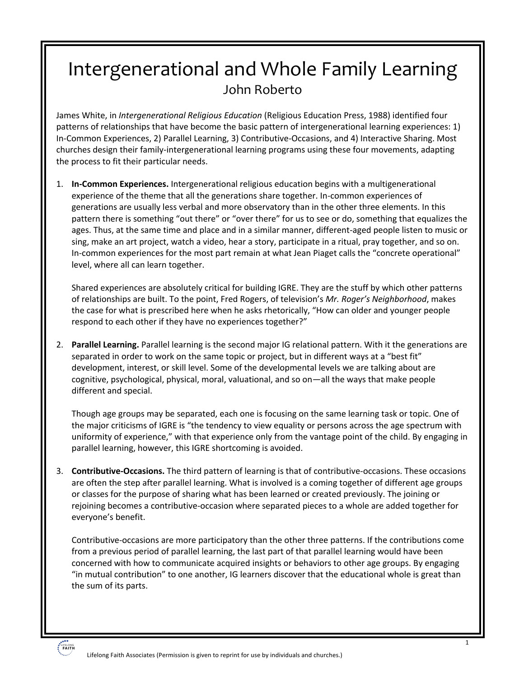# Intergenerational and Whole Family Learning John Roberto

James White, in *Intergenerational Religious Education* (Religious Education Press, 1988) identified four patterns of relationships that have become the basic pattern of intergenerational learning experiences: 1) In-Common Experiences, 2) Parallel Learning, 3) Contributive-Occasions, and 4) Interactive Sharing. Most churches design their family-intergenerational learning programs using these four movements, adapting the process to fit their particular needs.

1. **In-Common Experiences.** Intergenerational religious education begins with a multigenerational experience of the theme that all the generations share together. In-common experiences of generations are usually less verbal and more observatory than in the other three elements. In this pattern there is something "out there" or "over there" for us to see or do, something that equalizes the ages. Thus, at the same time and place and in a similar manner, different-aged people listen to music or sing, make an art project, watch a video, hear a story, participate in a ritual, pray together, and so on. In-common experiences for the most part remain at what Jean Piaget calls the "concrete operational" level, where all can learn together.

Shared experiences are absolutely critical for building IGRE. They are the stuff by which other patterns of relationships are built. To the point, Fred Rogers, of television's *Mr. Roger's Neighborhood*, makes the case for what is prescribed here when he asks rhetorically, "How can older and younger people respond to each other if they have no experiences together?"

2. **Parallel Learning.** Parallel learning is the second major IG relational pattern. With it the generations are separated in order to work on the same topic or project, but in different ways at a "best fit" development, interest, or skill level. Some of the developmental levels we are talking about are cognitive, psychological, physical, moral, valuational, and so on—all the ways that make people different and special.

Though age groups may be separated, each one is focusing on the same learning task or topic. One of the major criticisms of IGRE is "the tendency to view equality or persons across the age spectrum with uniformity of experience," with that experience only from the vantage point of the child. By engaging in parallel learning, however, this IGRE shortcoming is avoided.

3. **Contributive-Occasions.** The third pattern of learning is that of contributive-occasions. These occasions are often the step after parallel learning. What is involved is a coming together of different age groups or classes for the purpose of sharing what has been learned or created previously. The joining or rejoining becomes a contributive-occasion where separated pieces to a whole are added together for everyone's benefit.

Contributive-occasions are more participatory than the other three patterns. If the contributions come from a previous period of parallel learning, the last part of that parallel learning would have been concerned with how to communicate acquired insights or behaviors to other age groups. By engaging "in mutual contribution" to one another, IG learners discover that the educational whole is great than the sum of its parts.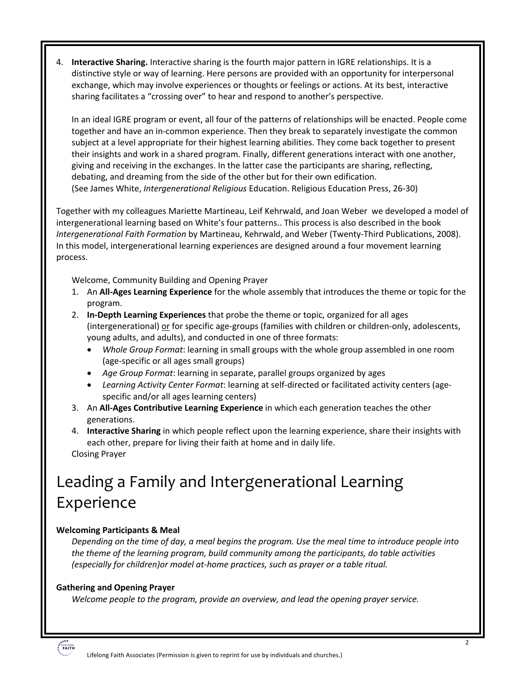Interactive Sharing. Interactive sharing is the fourth major pattern in IGRE relationships. It is a distinctive style or way of learning. Here persons are provided with an opportunity for interpersonal exchange, which may involve experiences or thoughts or feelings or actions. At its best, interactive sharing facilitates a "crossing over" to hear and respond to another's perspective.

In an ideal IGRE program or event, all four of the patterns of relationships will be enacted. People come together and have an in-common experience. Then they break to separately investigate the common subject at a level appropriate for their highest learning abilities. They come back together to present their insights and work in a shared program. Finally, different generations interact with one another, giving and receiving in the exchanges. In the latter case the participants are sharing, reflecting, debating, and dreaming from the side of the other but for their own edification. (See James White, *Intergenerational Religious* Education. Religious Education Press, 26-30)

Together with my colleagues Mariette Martineau, Leif Kehrwald, and Joan Weber we developed a model of intergenerational learning based on White's four patterns.. This process is also described in the book *Intergenerational Faith Formation* by Martineau, Kehrwald, and Weber (Twenty-Third Publications, 2008). In this model, intergenerational learning experiences are designed around a four movement learning process.

Welcome, Community Building and Opening Prayer

- 1. An **All-Ages Learning Experience** for the whole assembly that introduces the theme or topic for the program.
- 2. **In-Depth Learning Experiences** that probe the theme or topic, organized for all ages (intergenerational) or for specific age-groups (families with children or children-only, adolescents, young adults, and adults), and conducted in one of three formats:
	- *Whole Group Format*: learning in small groups with the whole group assembled in one room (age-specific or all ages small groups)
	- *Age Group Format*: learning in separate, parallel groups organized by ages
	- *Learning Activity Center Format*: learning at self-directed or facilitated activity centers (agespecific and/or all ages learning centers)
- 3. An **All-Ages Contributive Learning Experience** in which each generation teaches the other generations.
- 4. **Interactive Sharing** in which people reflect upon the learning experience, share their insights with each other, prepare for living their faith at home and in daily life. Closing Prayer

# Leading a Family and Intergenerational Learning Experience

# **Welcoming Participants & Meal**

*Depending on the time of day, a meal begins the program. Use the meal time to introduce people into the theme of the learning program, build community among the participants, do table activities (especially for children)or model at-home practices, such as prayer or a table ritual.*

# **Gathering and Opening Prayer**

*Welcome people to the program, provide an overview, and lead the opening prayer service.* 

LIFELONG<br>**FAITH**